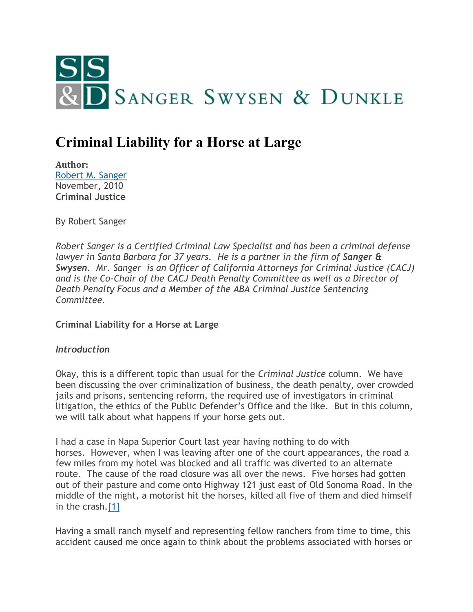

# **Criminal Liability for a Horse at Large**

**Author:** [Robert M. Sanger](http://www.sangerswysen.com/robert-m-sanger) November, 2010 **Criminal Justice**

By Robert Sanger

*Robert Sanger is a Certified Criminal Law Specialist and has been a criminal defense lawyer in Santa Barbara for 37 years. He is a partner in the firm of Sanger & Swysen. Mr. Sanger is an Officer of California Attorneys for Criminal Justice (CACJ) and is the Co-Chair of the CACJ Death Penalty Committee as well as a Director of Death Penalty Focus and a Member of the ABA Criminal Justice Sentencing Committee.*

**Criminal Liability for a Horse at Large**

#### *Introduction*

Okay, this is a different topic than usual for the *Criminal Justice* column. We have been discussing the over criminalization of business, the death penalty, over crowded jails and prisons, sentencing reform, the required use of investigators in criminal litigation, the ethics of the Public Defender's Office and the like. But in this column, we will talk about what happens if your horse gets out.

I had a case in Napa Superior Court last year having nothing to do with horses. However, when I was leaving after one of the court appearances, the road a few miles from my hotel was blocked and all traffic was diverted to an alternate route. The cause of the road closure was all over the news. Five horses had gotten out of their pasture and come onto Highway 121 just east of Old Sonoma Road. In the middle of the night, a motorist hit the horses, killed all five of them and died himself in the crash[.\[1\]](#page-4-0)

Having a small ranch myself and representing fellow ranchers from time to time, this accident caused me once again to think about the problems associated with horses or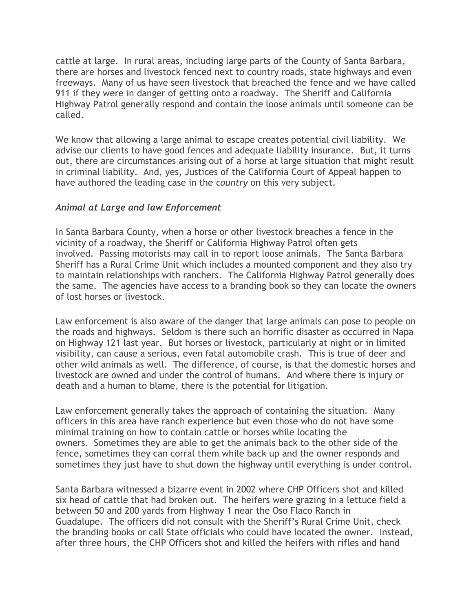cattle at large. In rural areas, including large parts of the County of Santa Barbara, there are horses and livestock fenced next to country roads, state highways and even freeways. Many of us have seen livestock that breached the fence and we have called 911 if they were in danger of getting onto a roadway. The Sheriff and California Highway Patrol generally respond and contain the loose animals until someone can be called.

We know that allowing a large animal to escape creates potential civil liability. We advise our clients to have good fences and adequate liability insurance. But, it turns out, there are circumstances arising out of a horse at large situation that might result in criminal liability. And, yes, Justices of the California Court of Appeal happen to have authored the leading case in the *country* on this very subject.

## *Animal at Large and law Enforcement*

In Santa Barbara County, when a horse or other livestock breaches a fence in the vicinity of a roadway, the Sheriff or California Highway Patrol often gets involved. Passing motorists may call in to report loose animals. The Santa Barbara Sheriff has a Rural Crime Unit which includes a mounted component and they also try to maintain relationships with ranchers. The California Highway Patrol generally does the same. The agencies have access to a branding book so they can locate the owners of lost horses or livestock.

Law enforcement is also aware of the danger that large animals can pose to people on the roads and highways. Seldom is there such an horrific disaster as occurred in Napa on Highway 121 last year. But horses or livestock, particularly at night or in limited visibility, can cause a serious, even fatal automobile crash. This is true of deer and other wild animals as well. The difference, of course, is that the domestic horses and livestock are owned and under the control of humans. And where there is injury or death and a human to blame, there is the potential for litigation.

Law enforcement generally takes the approach of containing the situation. Many officers in this area have ranch experience but even those who do not have some minimal training on how to contain cattle or horses while locating the owners. Sometimes they are able to get the animals back to the other side of the fence, sometimes they can corral them while back up and the owner responds and sometimes they just have to shut down the highway until everything is under control.

Santa Barbara witnessed a bizarre event in 2002 where CHP Officers shot and killed six head of cattle that had broken out. The heifers were grazing in a lettuce field a between 50 and 200 yards from Highway 1 near the Oso Flaco Ranch in Guadalupe. The officers did not consult with the Sheriff's Rural Crime Unit, check the branding books or call State officials who could have located the owner. Instead, after three hours, the CHP Officers shot and killed the heifers with rifles and hand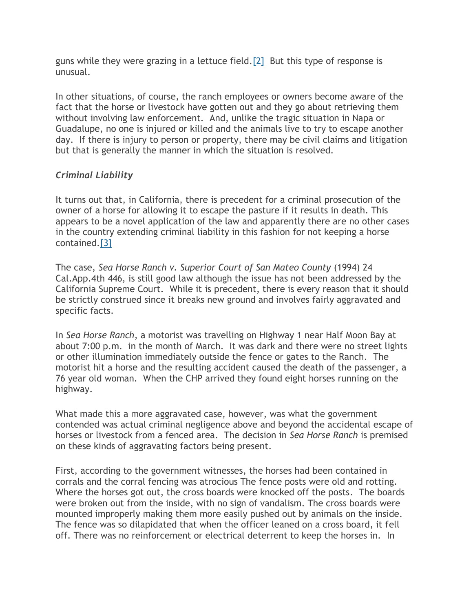guns while they were grazing in a lettuce field[.\[2\]](#page-4-1) But this type of response is unusual.

In other situations, of course, the ranch employees or owners become aware of the fact that the horse or livestock have gotten out and they go about retrieving them without involving law enforcement. And, unlike the tragic situation in Napa or Guadalupe, no one is injured or killed and the animals live to try to escape another day. If there is injury to person or property, there may be civil claims and litigation but that is generally the manner in which the situation is resolved.

## *Criminal Liability*

It turns out that, in California, there is precedent for a criminal prosecution of the owner of a horse for allowing it to escape the pasture if it results in death. This appears to be a novel application of the law and apparently there are no other cases in the country extending criminal liability in this fashion for not keeping a horse contained[.\[3\]](#page-4-2)

The case, *Sea Horse Ranch v. Superior Court of San Mateo County* (1994) 24 Cal.App.4th 446, is still good law although the issue has not been addressed by the California Supreme Court. While it is precedent, there is every reason that it should be strictly construed since it breaks new ground and involves fairly aggravated and specific facts.

In *Sea Horse Ranch*, a motorist was travelling on Highway 1 near Half Moon Bay at about 7:00 p.m. in the month of March. It was dark and there were no street lights or other illumination immediately outside the fence or gates to the Ranch. The motorist hit a horse and the resulting accident caused the death of the passenger, a 76 year old woman. When the CHP arrived they found eight horses running on the highway.

What made this a more aggravated case, however, was what the government contended was actual criminal negligence above and beyond the accidental escape of horses or livestock from a fenced area. The decision in *Sea Horse Ranch* is premised on these kinds of aggravating factors being present.

First, according to the government witnesses, the horses had been contained in corrals and the corral fencing was atrocious The fence posts were old and rotting. Where the horses got out, the cross boards were knocked off the posts. The boards were broken out from the inside, with no sign of vandalism. The cross boards were mounted improperly making them more easily pushed out by animals on the inside. The fence was so dilapidated that when the officer leaned on a cross board, it fell off. There was no reinforcement or electrical deterrent to keep the horses in. In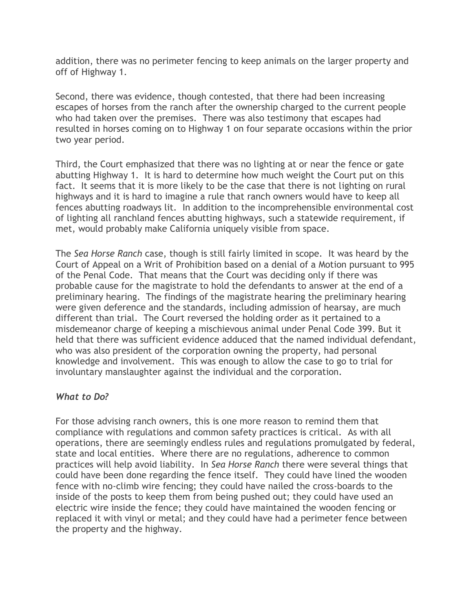addition, there was no perimeter fencing to keep animals on the larger property and off of Highway 1.

Second, there was evidence, though contested, that there had been increasing escapes of horses from the ranch after the ownership charged to the current people who had taken over the premises. There was also testimony that escapes had resulted in horses coming on to Highway 1 on four separate occasions within the prior two year period.

Third, the Court emphasized that there was no lighting at or near the fence or gate abutting Highway 1. It is hard to determine how much weight the Court put on this fact. It seems that it is more likely to be the case that there is not lighting on rural highways and it is hard to imagine a rule that ranch owners would have to keep all fences abutting roadways lit. In addition to the incomprehensible environmental cost of lighting all ranchland fences abutting highways, such a statewide requirement, if met, would probably make California uniquely visible from space.

The *Sea Horse Ranch* case, though is still fairly limited in scope. It was heard by the Court of Appeal on a Writ of Prohibition based on a denial of a Motion pursuant to 995 of the Penal Code. That means that the Court was deciding only if there was probable cause for the magistrate to hold the defendants to answer at the end of a preliminary hearing. The findings of the magistrate hearing the preliminary hearing were given deference and the standards, including admission of hearsay, are much different than trial. The Court reversed the holding order as it pertained to a misdemeanor charge of keeping a mischievous animal under Penal Code 399. But it held that there was sufficient evidence adduced that the named individual defendant, who was also president of the corporation owning the property, had personal knowledge and involvement. This was enough to allow the case to go to trial for involuntary manslaughter against the individual and the corporation.

## *What to Do?*

For those advising ranch owners, this is one more reason to remind them that compliance with regulations and common safety practices is critical. As with all operations, there are seemingly endless rules and regulations promulgated by federal, state and local entities. Where there are no regulations, adherence to common practices will help avoid liability. In *Sea Horse Ranch* there were several things that could have been done regarding the fence itself. They could have lined the wooden fence with no-climb wire fencing; they could have nailed the cross-boards to the inside of the posts to keep them from being pushed out; they could have used an electric wire inside the fence; they could have maintained the wooden fencing or replaced it with vinyl or metal; and they could have had a perimeter fence between the property and the highway.